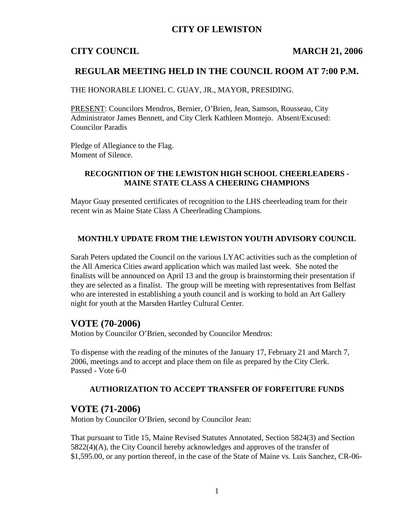# **CITY OF LEWISTON**

## **CITY COUNCIL MARCH 21, 2006**

# **REGULAR MEETING HELD IN THE COUNCIL ROOM AT 7:00 P.M.**

THE HONORABLE LIONEL C. GUAY, JR., MAYOR, PRESIDING.

PRESENT: Councilors Mendros, Bernier, O'Brien, Jean, Samson, Rousseau, City Administrator James Bennett, and City Clerk Kathleen Montejo. Absent/Excused: Councilor Paradis

Pledge of Allegiance to the Flag. Moment of Silence.

## **RECOGNITION OF THE LEWISTON HIGH SCHOOL CHEERLEADERS - MAINE STATE CLASS A CHEERING CHAMPIONS**

Mayor Guay presented certificates of recognition to the LHS cheerleading team for their recent win as Maine State Class A Cheerleading Champions.

#### **MONTHLY UPDATE FROM THE LEWISTON YOUTH ADVISORY COUNCIL**

Sarah Peters updated the Council on the various LYAC activities such as the completion of the All America Cities award application which was mailed last week. She noted the finalists will be announced on April 13 and the group is brainstorming their presentation if they are selected as a finalist. The group will be meeting with representatives from Belfast who are interested in establishing a youth council and is working to hold an Art Gallery night for youth at the Marsden Hartley Cultural Center.

## **VOTE (70-2006)**

Motion by Councilor O'Brien, seconded by Councilor Mendros:

To dispense with the reading of the minutes of the January 17, February 21 and March 7, 2006, meetings and to accept and place them on file as prepared by the City Clerk. Passed - Vote 6-0

### **AUTHORIZATION TO ACCEPT TRANSFER OF FORFEITURE FUNDS**

#### **VOTE (71-2006)**

Motion by Councilor O'Brien, second by Councilor Jean:

That pursuant to Title 15, Maine Revised Statutes Annotated, Section 5824(3) and Section 5822(4)(A), the City Council hereby acknowledges and approves of the transfer of \$1,595.00, or any portion thereof, in the case of the State of Maine vs. Luis Sanchez, CR-06-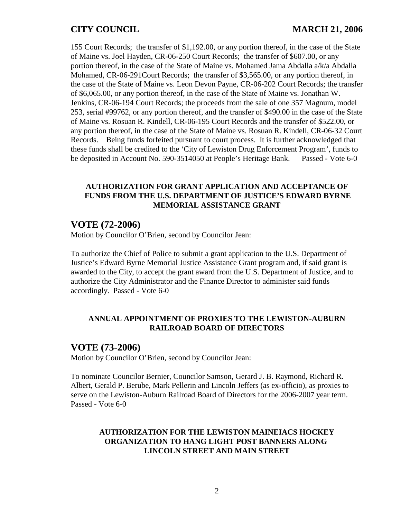# **CITY COUNCIL MARCH 21, 2006**

155 Court Records; the transfer of \$1,192.00, or any portion thereof, in the case of the State of Maine vs. Joel Hayden, CR-06-250 Court Records; the transfer of \$607.00, or any portion thereof, in the case of the State of Maine vs. Mohamed Jama Abdalla a/k/a Abdalla Mohamed, CR-06-291Court Records; the transfer of \$3,565.00, or any portion thereof, in the case of the State of Maine vs. Leon Devon Payne, CR-06-202 Court Records; the transfer of \$6,065.00, or any portion thereof, in the case of the State of Maine vs. Jonathan W. Jenkins, CR-06-194 Court Records; the proceeds from the sale of one 357 Magnum, model 253, serial #99762, or any portion thereof, and the transfer of \$490.00 in the case of the State of Maine vs. Rosuan R. Kindell, CR-06-195 Court Records and the transfer of \$522.00, or any portion thereof, in the case of the State of Maine vs. Rosuan R. Kindell, CR-06-32 Court Records. Being funds forfeited pursuant to court process. It is further acknowledged that these funds shall be credited to the 'City of Lewiston Drug Enforcement Program', funds to be deposited in Account No. 590-3514050 at People's Heritage Bank. Passed - Vote 6-0

### **AUTHORIZATION FOR GRANT APPLICATION AND ACCEPTANCE OF FUNDS FROM THE U.S. DEPARTMENT OF JUSTICE'S EDWARD BYRNE MEMORIAL ASSISTANCE GRANT**

# **VOTE (72-2006)**

Motion by Councilor O'Brien, second by Councilor Jean:

To authorize the Chief of Police to submit a grant application to the U.S. Department of Justice's Edward Byrne Memorial Justice Assistance Grant program and, if said grant is awarded to the City, to accept the grant award from the U.S. Department of Justice, and to authorize the City Administrator and the Finance Director to administer said funds accordingly. Passed - Vote 6-0

#### **ANNUAL APPOINTMENT OF PROXIES TO THE LEWISTON-AUBURN RAILROAD BOARD OF DIRECTORS**

# **VOTE (73-2006)**

Motion by Councilor O'Brien, second by Councilor Jean:

To nominate Councilor Bernier, Councilor Samson, Gerard J. B. Raymond, Richard R. Albert, Gerald P. Berube, Mark Pellerin and Lincoln Jeffers (as ex-officio), as proxies to serve on the Lewiston-Auburn Railroad Board of Directors for the 2006-2007 year term. Passed - Vote 6-0

### **AUTHORIZATION FOR THE LEWISTON MAINEIACS HOCKEY ORGANIZATION TO HANG LIGHT POST BANNERS ALONG LINCOLN STREET AND MAIN STREET**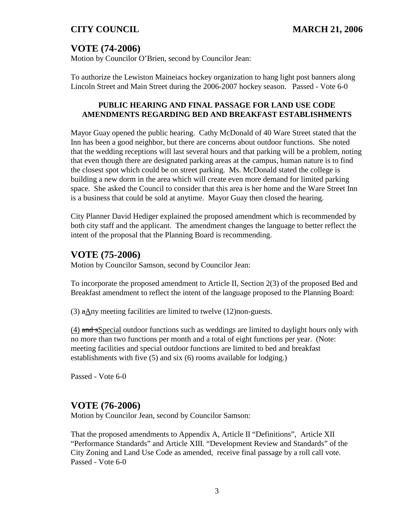# **VOTE (74-2006)**

Motion by Councilor O'Brien, second by Councilor Jean:

To authorize the Lewiston Maineiacs hockey organization to hang light post banners along Lincoln Street and Main Street during the 2006-2007 hockey season. Passed - Vote 6-0

# **PUBLIC HEARING AND FINAL PASSAGE FOR LAND USE CODE AMENDMENTS REGARDING BED AND BREAKFAST ESTABLISHMENTS**

Mayor Guay opened the public hearing. Cathy McDonald of 40 Ware Street stated that the Inn has been a good neighbor, but there are concerns about outdoor functions. She noted that the wedding receptions will last several hours and that parking will be a problem, noting that even though there are designated parking areas at the campus, human nature is to find the closest spot which could be on street parking. Ms. McDonald stated the college is building a new dorm in the area which will create even more demand for limited parking space. She asked the Council to consider that this area is her home and the Ware Street Inn is a business that could be sold at anytime. Mayor Guay then closed the hearing.

City Planner David Hediger explained the proposed amendment which is recommended by both city staff and the applicant. The amendment changes the language to better reflect the intent of the proposal that the Planning Board is recommending.

# **VOTE (75-2006)**

Motion by Councilor Samson, second by Councilor Jean:

To incorporate the proposed amendment to Article II, Section 2(3) of the proposed Bed and Breakfast amendment to reflect the intent of the language proposed to the Planning Board:

(3)  $\alpha$ Any meeting facilities are limited to twelve (12)non-guests.

(4) and sSpecial outdoor functions such as weddings are limited to daylight hours only with no more than two functions per month and a total of eight functions per year. (Note: meeting facilities and special outdoor functions are limited to bed and breakfast establishments with five (5) and six (6) rooms available for lodging.)

Passed - Vote 6-0

# **VOTE (76-2006)**

Motion by Councilor Jean, second by Councilor Samson:

That the proposed amendments to Appendix A, Article II "Definitions", Article XII "Performance Standards" and Article XIII. "Development Review and Standards" of the City Zoning and Land Use Code as amended, receive final passage by a roll call vote. Passed - Vote 6-0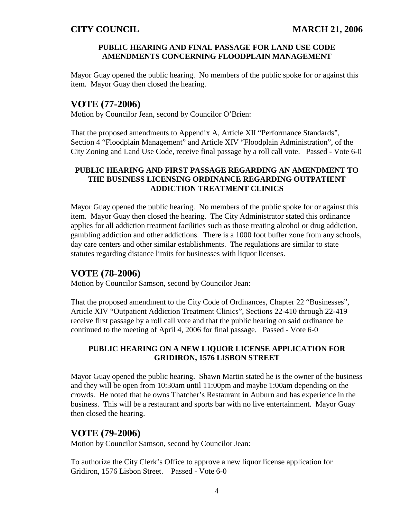### **PUBLIC HEARING AND FINAL PASSAGE FOR LAND USE CODE AMENDMENTS CONCERNING FLOODPLAIN MANAGEMENT**

Mayor Guay opened the public hearing. No members of the public spoke for or against this item. Mayor Guay then closed the hearing.

# **VOTE (77-2006)**

Motion by Councilor Jean, second by Councilor O'Brien:

That the proposed amendments to Appendix A, Article XII "Performance Standards", Section 4 "Floodplain Management" and Article XIV "Floodplain Administration", of the City Zoning and Land Use Code, receive final passage by a roll call vote. Passed - Vote 6-0

# **PUBLIC HEARING AND FIRST PASSAGE REGARDING AN AMENDMENT TO THE BUSINESS LICENSING ORDINANCE REGARDING OUTPATIENT ADDICTION TREATMENT CLINICS**

Mayor Guay opened the public hearing. No members of the public spoke for or against this item. Mayor Guay then closed the hearing. The City Administrator stated this ordinance applies for all addiction treatment facilities such as those treating alcohol or drug addiction, gambling addiction and other addictions. There is a 1000 foot buffer zone from any schools, day care centers and other similar establishments. The regulations are similar to state statutes regarding distance limits for businesses with liquor licenses.

# **VOTE (78-2006)**

Motion by Councilor Samson, second by Councilor Jean:

That the proposed amendment to the City Code of Ordinances, Chapter 22 "Businesses", Article XIV "Outpatient Addiction Treatment Clinics", Sections 22-410 through 22-419 receive first passage by a roll call vote and that the public hearing on said ordinance be continued to the meeting of April 4, 2006 for final passage. Passed - Vote 6-0

## **PUBLIC HEARING ON A NEW LIQUOR LICENSE APPLICATION FOR GRIDIRON, 1576 LISBON STREET**

Mayor Guay opened the public hearing. Shawn Martin stated he is the owner of the business and they will be open from 10:30am until 11:00pm and maybe 1:00am depending on the crowds. He noted that he owns Thatcher's Restaurant in Auburn and has experience in the business. This will be a restaurant and sports bar with no live entertainment. Mayor Guay then closed the hearing.

# **VOTE (79-2006)**

Motion by Councilor Samson, second by Councilor Jean:

To authorize the City Clerk's Office to approve a new liquor license application for Gridiron, 1576 Lisbon Street. Passed - Vote 6-0